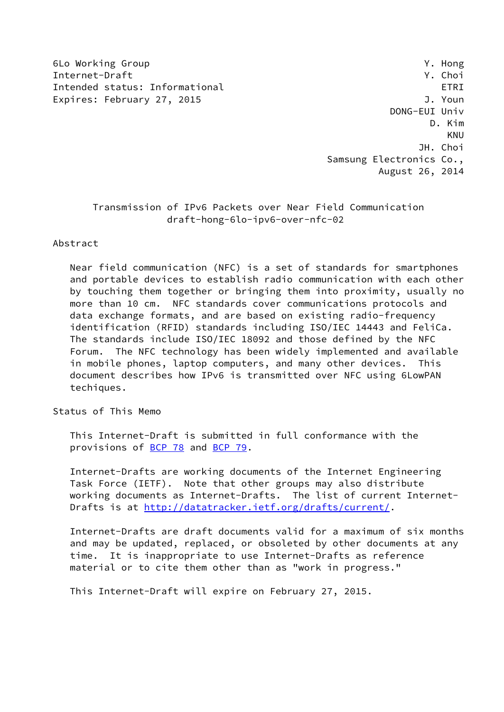6Lo Working Group Y. Hong Internet-Draft Y. Choi Intended status: Informational example of the example of  $ETRI$ Expires: February 27, 2015 **J. Youn** 

 DONG-EUI Univ D. Kim KNU JH. Choi Samsung Electronics Co., August 26, 2014

# Transmission of IPv6 Packets over Near Field Communication draft-hong-6lo-ipv6-over-nfc-02

#### Abstract

 Near field communication (NFC) is a set of standards for smartphones and portable devices to establish radio communication with each other by touching them together or bringing them into proximity, usually no more than 10 cm. NFC standards cover communications protocols and data exchange formats, and are based on existing radio-frequency identification (RFID) standards including ISO/IEC 14443 and FeliCa. The standards include ISO/IEC 18092 and those defined by the NFC Forum. The NFC technology has been widely implemented and available in mobile phones, laptop computers, and many other devices. This document describes how IPv6 is transmitted over NFC using 6LowPAN techiques.

Status of This Memo

 This Internet-Draft is submitted in full conformance with the provisions of [BCP 78](https://datatracker.ietf.org/doc/pdf/bcp78) and [BCP 79](https://datatracker.ietf.org/doc/pdf/bcp79).

 Internet-Drafts are working documents of the Internet Engineering Task Force (IETF). Note that other groups may also distribute working documents as Internet-Drafts. The list of current Internet- Drafts is at<http://datatracker.ietf.org/drafts/current/>.

 Internet-Drafts are draft documents valid for a maximum of six months and may be updated, replaced, or obsoleted by other documents at any time. It is inappropriate to use Internet-Drafts as reference material or to cite them other than as "work in progress."

This Internet-Draft will expire on February 27, 2015.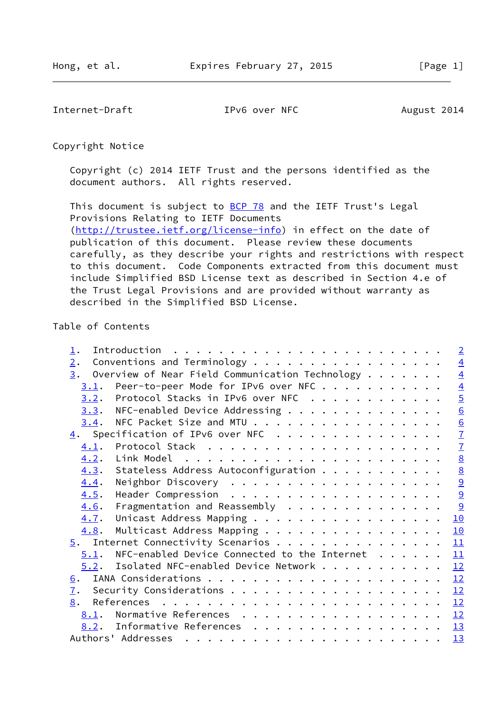<span id="page-1-0"></span>Internet-Draft TPv6 over NFC August 2014

Copyright Notice

 Copyright (c) 2014 IETF Trust and the persons identified as the document authors. All rights reserved.

This document is subject to **[BCP 78](https://datatracker.ietf.org/doc/pdf/bcp78)** and the IETF Trust's Legal Provisions Relating to IETF Documents [\(http://trustee.ietf.org/license-info](http://trustee.ietf.org/license-info)) in effect on the date of publication of this document. Please review these documents

 carefully, as they describe your rights and restrictions with respect to this document. Code Components extracted from this document must include Simplified BSD License text as described in Section 4.e of the Trust Legal Provisions and are provided without warranty as described in the Simplified BSD License.

#### Table of Contents

| $\perp$ .                                             |  |  |  |  | $\overline{2}$  |
|-------------------------------------------------------|--|--|--|--|-----------------|
| Conventions and Terminology<br>$\overline{2}$ .       |  |  |  |  | $\overline{4}$  |
| Overview of Near Field Communication Technology<br>3. |  |  |  |  | $\overline{4}$  |
| Peer-to-peer Mode for IPv6 over NFC<br>3.1.           |  |  |  |  | $\overline{4}$  |
| Protocol Stacks in IPv6 over NFC<br>3.2.              |  |  |  |  | $\overline{5}$  |
| NFC-enabled Device Addressing<br>3.3.                 |  |  |  |  | 6               |
| NFC Packet Size and MTU<br>3.4.                       |  |  |  |  |                 |
| $\underline{4}$ . Specification of IPv6 over NFC      |  |  |  |  | $\frac{6}{7}$   |
| 4.1.                                                  |  |  |  |  | $\overline{1}$  |
| 4.2.                                                  |  |  |  |  | $\underline{8}$ |
| Stateless Address Autoconfiguration<br>4.3.           |  |  |  |  | 8               |
| 4.4.                                                  |  |  |  |  | 9               |
| 4.5.                                                  |  |  |  |  | $\overline{9}$  |
| Fragmentation and Reassembly<br>4.6.                  |  |  |  |  | $\frac{9}{2}$   |
| Unicast Address Mapping<br>4.7.                       |  |  |  |  | 10              |
| Multicast Address Mapping<br>4.8.                     |  |  |  |  | <u> 10</u>      |
| $\overline{5}$ . Internet Connectivity Scenarios      |  |  |  |  | 11              |
| NFC-enabled Device Connected to the Internet<br>5.1.  |  |  |  |  | 11              |
| $5.2$ . Isolated NFC-enabled Device Network           |  |  |  |  | 12              |
| <u>6</u> .                                            |  |  |  |  | 12              |
| $\mathbf{I}$ .                                        |  |  |  |  | 12              |
| 8.                                                    |  |  |  |  |                 |
| 8.1. Normative References 12                          |  |  |  |  |                 |
| 8.2. Informative References 13                        |  |  |  |  |                 |
| Authors' Addresses                                    |  |  |  |  |                 |
|                                                       |  |  |  |  | 13              |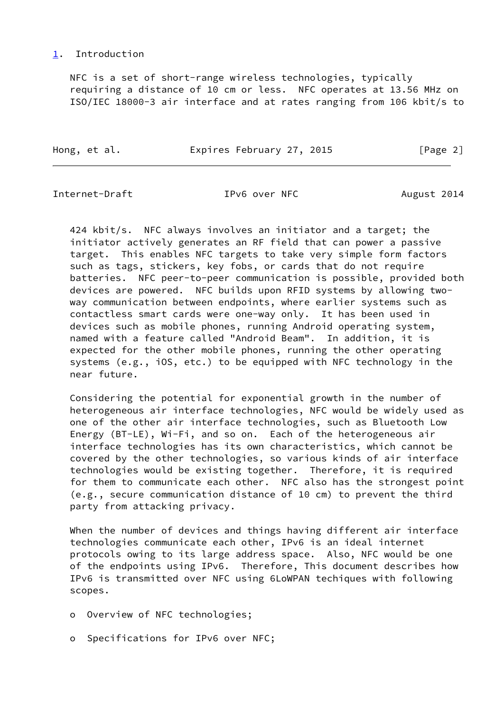#### <span id="page-2-0"></span>[1](#page-2-0). Introduction

 NFC is a set of short-range wireless technologies, typically requiring a distance of 10 cm or less. NFC operates at 13.56 MHz on ISO/IEC 18000-3 air interface and at rates ranging from 106 kbit/s to

Hong, et al. **Expires February 27, 2015** [Page 2]

Internet-Draft TPv6 over NFC August 2014

 424 kbit/s. NFC always involves an initiator and a target; the initiator actively generates an RF field that can power a passive target. This enables NFC targets to take very simple form factors such as tags, stickers, key fobs, or cards that do not require batteries. NFC peer-to-peer communication is possible, provided both devices are powered. NFC builds upon RFID systems by allowing two way communication between endpoints, where earlier systems such as contactless smart cards were one-way only. It has been used in devices such as mobile phones, running Android operating system, named with a feature called "Android Beam". In addition, it is expected for the other mobile phones, running the other operating systems (e.g., iOS, etc.) to be equipped with NFC technology in the near future.

 Considering the potential for exponential growth in the number of heterogeneous air interface technologies, NFC would be widely used as one of the other air interface technologies, such as Bluetooth Low Energy (BT-LE), Wi-Fi, and so on. Each of the heterogeneous air interface technologies has its own characteristics, which cannot be covered by the other technologies, so various kinds of air interface technologies would be existing together. Therefore, it is required for them to communicate each other. NFC also has the strongest point (e.g., secure communication distance of 10 cm) to prevent the third party from attacking privacy.

 When the number of devices and things having different air interface technologies communicate each other, IPv6 is an ideal internet protocols owing to its large address space. Also, NFC would be one of the endpoints using IPv6. Therefore, This document describes how IPv6 is transmitted over NFC using 6LoWPAN techiques with following scopes.

- o Overview of NFC technologies;
- o Specifications for IPv6 over NFC;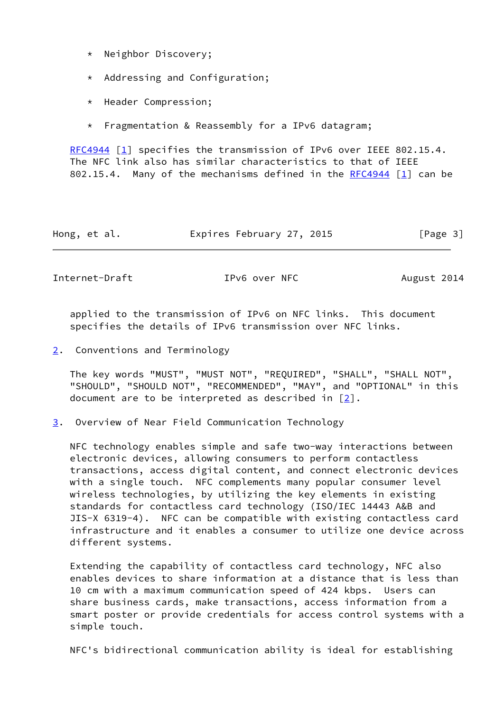- \* Neighbor Discovery;
- \* Addressing and Configuration;
- \* Header Compression;
- \* Fragmentation & Reassembly for a IPv6 datagram;

[RFC4944](https://datatracker.ietf.org/doc/pdf/rfc4944) [\[1](#page-13-4)] specifies the transmission of IPv6 over IEEE 802.15.4. The NFC link also has similar characteristics to that of IEEE 802.15.4. Many of the mechanisms defined in the [RFC4944](https://datatracker.ietf.org/doc/pdf/rfc4944) [\[1\]](#page-13-4) can be

| Hong, et al. | Expires February 27, 2015 | [Page 3] |
|--------------|---------------------------|----------|
|--------------|---------------------------|----------|

<span id="page-3-1"></span>Internet-Draft TPv6 over NFC August 2014

 applied to the transmission of IPv6 on NFC links. This document specifies the details of IPv6 transmission over NFC links.

<span id="page-3-0"></span>[2](#page-3-0). Conventions and Terminology

 The key words "MUST", "MUST NOT", "REQUIRED", "SHALL", "SHALL NOT", "SHOULD", "SHOULD NOT", "RECOMMENDED", "MAY", and "OPTIONAL" in this document are to be interpreted as described in [\[2](#page-13-5)].

<span id="page-3-2"></span>[3](#page-3-2). Overview of Near Field Communication Technology

 NFC technology enables simple and safe two-way interactions between electronic devices, allowing consumers to perform contactless transactions, access digital content, and connect electronic devices with a single touch. NFC complements many popular consumer level wireless technologies, by utilizing the key elements in existing standards for contactless card technology (ISO/IEC 14443 A&B and JIS-X 6319-4). NFC can be compatible with existing contactless card infrastructure and it enables a consumer to utilize one device across different systems.

 Extending the capability of contactless card technology, NFC also enables devices to share information at a distance that is less than 10 cm with a maximum communication speed of 424 kbps. Users can share business cards, make transactions, access information from a smart poster or provide credentials for access control systems with a simple touch.

NFC's bidirectional communication ability is ideal for establishing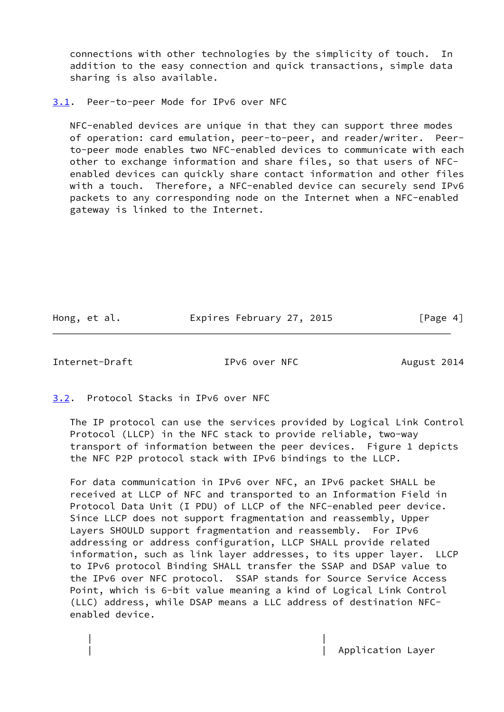connections with other technologies by the simplicity of touch. In addition to the easy connection and quick transactions, simple data sharing is also available.

<span id="page-4-0"></span>[3.1](#page-4-0). Peer-to-peer Mode for IPv6 over NFC

 NFC-enabled devices are unique in that they can support three modes of operation: card emulation, peer-to-peer, and reader/writer. Peer to-peer mode enables two NFC-enabled devices to communicate with each other to exchange information and share files, so that users of NFC enabled devices can quickly share contact information and other files with a touch. Therefore, a NFC-enabled device can securely send IPv6 packets to any corresponding node on the Internet when a NFC-enabled gateway is linked to the Internet.

Hong, et al. **Expires February 27, 2015** [Page 4]

<span id="page-4-2"></span>Internet-Draft TPv6 over NFC August 2014

<span id="page-4-1"></span>[3.2](#page-4-1). Protocol Stacks in IPv6 over NFC

| |

 The IP protocol can use the services provided by Logical Link Control Protocol (LLCP) in the NFC stack to provide reliable, two-way transport of information between the peer devices. Figure 1 depicts the NFC P2P protocol stack with IPv6 bindings to the LLCP.

 For data communication in IPv6 over NFC, an IPv6 packet SHALL be received at LLCP of NFC and transported to an Information Field in Protocol Data Unit (I PDU) of LLCP of the NFC-enabled peer device. Since LLCP does not support fragmentation and reassembly, Upper Layers SHOULD support fragmentation and reassembly. For IPv6 addressing or address configuration, LLCP SHALL provide related information, such as link layer addresses, to its upper layer. LLCP to IPv6 protocol Binding SHALL transfer the SSAP and DSAP value to the IPv6 over NFC protocol. SSAP stands for Source Service Access Point, which is 6-bit value meaning a kind of Logical Link Control (LLC) address, while DSAP means a LLC address of destination NFC enabled device.

Application Layer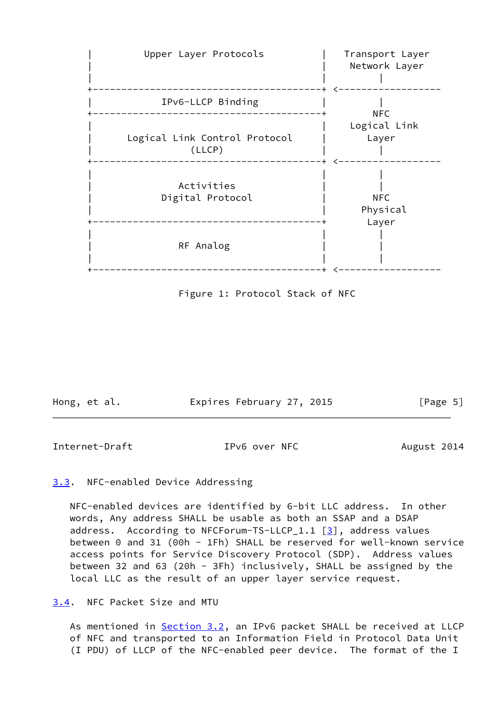

Figure 1: Protocol Stack of NFC

| Hong, et al. | Expires February 27, 2015 | [Page 5] |
|--------------|---------------------------|----------|
|              |                           |          |

<span id="page-5-1"></span>Internet-Draft TPv6 over NFC August 2014

#### <span id="page-5-0"></span>[3.3](#page-5-0). NFC-enabled Device Addressing

 NFC-enabled devices are identified by 6-bit LLC address. In other words, Any address SHALL be usable as both an SSAP and a DSAP address. According to NFCForum-TS-LLCP\_1.1  $[3]$  $[3]$ , address values between 0 and 31 (00h - 1Fh) SHALL be reserved for well-known service access points for Service Discovery Protocol (SDP). Address values between 32 and 63 (20h - 3Fh) inclusively, SHALL be assigned by the local LLC as the result of an upper layer service request.

<span id="page-5-2"></span>[3.4](#page-5-2). NFC Packet Size and MTU

As mentioned in [Section 3.2](#page-4-1), an IPv6 packet SHALL be received at LLCP of NFC and transported to an Information Field in Protocol Data Unit (I PDU) of LLCP of the NFC-enabled peer device. The format of the I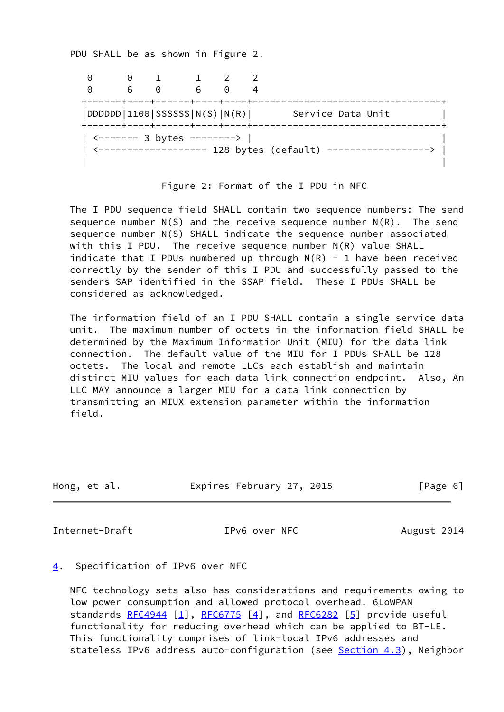PDU SHALL be as shown in Figure 2.

| $\left(\cdot\right)$<br>$\Theta$ | $(\cdot)$<br>6 | $\Theta$<br>------+----+-------+----+----+ | 6. | $\Theta$ |                                               |
|----------------------------------|----------------|--------------------------------------------|----|----------|-----------------------------------------------|
| DDDDDD 1100 SSSSSS N(S) N(R)     |                | ------+----+------+----+----+-             |    |          | Service Data Unit                             |
|                                  |                |                                            |    |          | <------------------ 128 bytes (default) ----- |

Figure 2: Format of the I PDU in NFC

 The I PDU sequence field SHALL contain two sequence numbers: The send sequence number  $N(S)$  and the receive sequence number  $N(R)$ . The send sequence number N(S) SHALL indicate the sequence number associated with this I PDU. The receive sequence number N(R) value SHALL indicate that I PDUs numbered up through  $N(R) - 1$  have been received correctly by the sender of this I PDU and successfully passed to the senders SAP identified in the SSAP field. These I PDUs SHALL be considered as acknowledged.

 The information field of an I PDU SHALL contain a single service data unit. The maximum number of octets in the information field SHALL be determined by the Maximum Information Unit (MIU) for the data link connection. The default value of the MIU for I PDUs SHALL be 128 octets. The local and remote LLCs each establish and maintain distinct MIU values for each data link connection endpoint. Also, An LLC MAY announce a larger MIU for a data link connection by transmitting an MIUX extension parameter within the information field.

| Hong, et al. | Expires February 27, 2015 | [Page 6] |
|--------------|---------------------------|----------|
|              |                           |          |

<span id="page-6-1"></span>Internet-Draft TPv6 over NFC August 2014

<span id="page-6-0"></span>[4](#page-6-0). Specification of IPv6 over NFC

 NFC technology sets also has considerations and requirements owing to low power consumption and allowed protocol overhead. 6LoWPAN standards [RFC4944](https://datatracker.ietf.org/doc/pdf/rfc4944) [[1\]](#page-13-4), [RFC6775](https://datatracker.ietf.org/doc/pdf/rfc6775) [\[4](#page-13-7)], and [RFC6282](https://datatracker.ietf.org/doc/pdf/rfc6282) [\[5](#page-13-8)] provide useful functionality for reducing overhead which can be applied to BT-LE. This functionality comprises of link-local IPv6 addresses and stateless IPv6 address auto-configuration (see [Section 4.3](#page-8-0)), Neighbor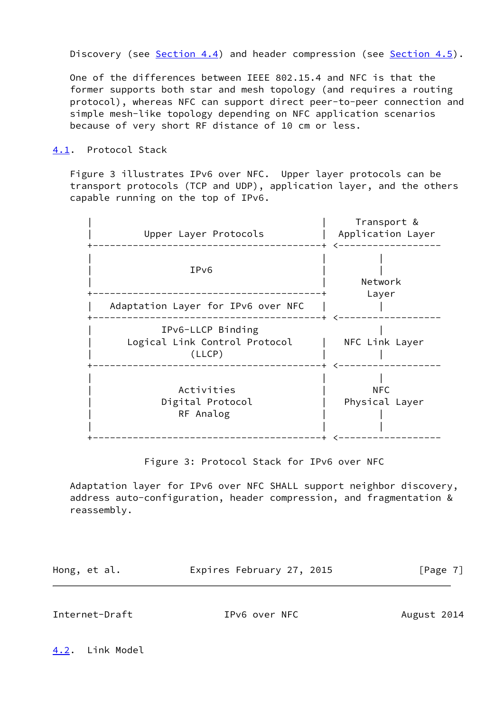Discovery (see [Section 4.4](#page-9-0)) and header compression (see [Section 4.5](#page-9-2)).

 One of the differences between IEEE 802.15.4 and NFC is that the former supports both star and mesh topology (and requires a routing protocol), whereas NFC can support direct peer-to-peer connection and simple mesh-like topology depending on NFC application scenarios because of very short RF distance of 10 cm or less.

#### <span id="page-7-0"></span>[4.1](#page-7-0). Protocol Stack

 Figure 3 illustrates IPv6 over NFC. Upper layer protocols can be transport protocols (TCP and UDP), application layer, and the others capable running on the top of IPv6.



Figure 3: Protocol Stack for IPv6 over NFC

 Adaptation layer for IPv6 over NFC SHALL support neighbor discovery, address auto-configuration, header compression, and fragmentation & reassembly.

| Hong, et al. | Expires February 27, 2015 | [Page 7] |
|--------------|---------------------------|----------|
|              |                           |          |

<span id="page-7-2"></span>Internet-Draft TPv6 over NFC August 2014

<span id="page-7-1"></span>[4.2](#page-7-1). Link Model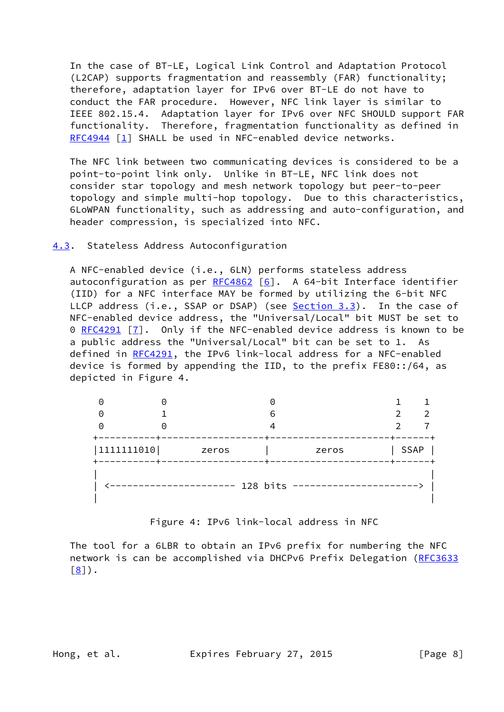In the case of BT-LE, Logical Link Control and Adaptation Protocol (L2CAP) supports fragmentation and reassembly (FAR) functionality; therefore, adaptation layer for IPv6 over BT-LE do not have to conduct the FAR procedure. However, NFC link layer is similar to IEEE 802.15.4. Adaptation layer for IPv6 over NFC SHOULD support FAR functionality. Therefore, fragmentation functionality as defined in [RFC4944](https://datatracker.ietf.org/doc/pdf/rfc4944) [\[1](#page-13-4)] SHALL be used in NFC-enabled device networks.

 The NFC link between two communicating devices is considered to be a point-to-point link only. Unlike in BT-LE, NFC link does not consider star topology and mesh network topology but peer-to-peer topology and simple multi-hop topology. Due to this characteristics, 6LoWPAN functionality, such as addressing and auto-configuration, and header compression, is specialized into NFC.

#### <span id="page-8-0"></span>[4.3](#page-8-0). Stateless Address Autoconfiguration

 A NFC-enabled device (i.e., 6LN) performs stateless address autoconfiguration as per  $RFC4862$  [\[6\]](#page-13-9). A 64-bit Interface identifier (IID) for a NFC interface MAY be formed by utilizing the 6-bit NFC LLCP address (i.e., SSAP or DSAP) (see [Section 3.3](#page-5-0)). In the case of NFC-enabled device address, the "Universal/Local" bit MUST be set to 0 [RFC4291](https://datatracker.ietf.org/doc/pdf/rfc4291) [[7\]](#page-13-10). Only if the NFC-enabled device address is known to be a public address the "Universal/Local" bit can be set to 1. As defined in [RFC4291](https://datatracker.ietf.org/doc/pdf/rfc4291), the IPv6 link-local address for a NFC-enabled device is formed by appending the IID, to the prefix FE80::/64, as depicted in Figure 4.

|            |          | 6     |             |  |
|------------|----------|-------|-------------|--|
| 1111111010 | zeros    | zeros | <b>SSAP</b> |  |
|            | 128 bits |       |             |  |

Figure 4: IPv6 link-local address in NFC

 The tool for a 6LBR to obtain an IPv6 prefix for numbering the NFC network is can be accomplished via DHCPv6 Prefix Delegation [\(RFC3633](https://datatracker.ietf.org/doc/pdf/rfc3633)  $[8]$  $[8]$ .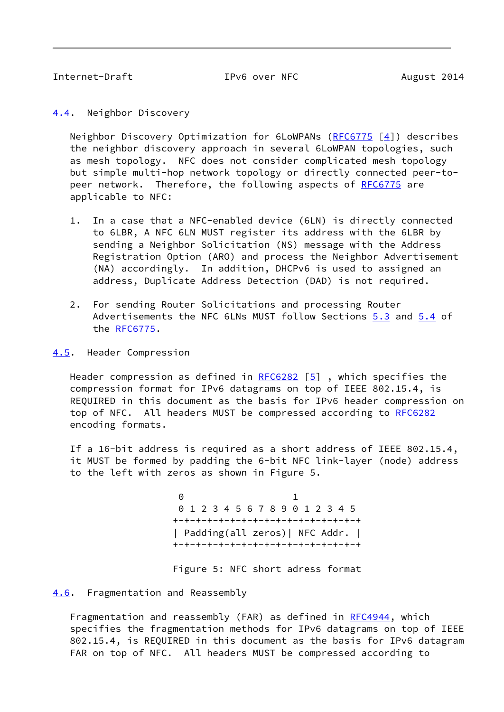<span id="page-9-1"></span>Internet-Draft TPv6 over NFC August 2014

<span id="page-9-0"></span>[4.4](#page-9-0). Neighbor Discovery

 Neighbor Discovery Optimization for 6LoWPANs [\(RFC6775](https://datatracker.ietf.org/doc/pdf/rfc6775) [[4\]](#page-13-7)) describes the neighbor discovery approach in several 6LoWPAN topologies, such as mesh topology. NFC does not consider complicated mesh topology but simple multi-hop network topology or directly connected peer-to- peer network. Therefore, the following aspects of [RFC6775](https://datatracker.ietf.org/doc/pdf/rfc6775) are applicable to NFC:

- 1. In a case that a NFC-enabled device (6LN) is directly connected to 6LBR, A NFC 6LN MUST register its address with the 6LBR by sending a Neighbor Solicitation (NS) message with the Address Registration Option (ARO) and process the Neighbor Advertisement (NA) accordingly. In addition, DHCPv6 is used to assigned an address, Duplicate Address Detection (DAD) is not required.
- 2. For sending Router Solicitations and processing Router Advertisements the NFC 6LNs MUST follow Sections 5.3 and 5.4 of the [RFC6775](https://datatracker.ietf.org/doc/pdf/rfc6775).
- <span id="page-9-2"></span>[4.5](#page-9-2). Header Compression

Header compression as defined in  $RFC6282$  [\[5\]](#page-13-8), which specifies the compression format for IPv6 datagrams on top of IEEE 802.15.4, is REQUIRED in this document as the basis for IPv6 header compression on top of NFC. All headers MUST be compressed according to [RFC6282](https://datatracker.ietf.org/doc/pdf/rfc6282) encoding formats.

 If a 16-bit address is required as a short address of IEEE 802.15.4, it MUST be formed by padding the 6-bit NFC link-layer (node) address to the left with zeros as shown in Figure 5.

 $\overline{0}$  and  $\overline{1}$  1 0 1 2 3 4 5 6 7 8 9 0 1 2 3 4 5 +-+-+-+-+-+-+-+-+-+-+-+-+-+-+-+-+ | Padding(all zeros)| NFC Addr. | +-+-+-+-+-+-+-+-+-+-+-+-+-+-+-+-+

Figure 5: NFC short adress format

#### <span id="page-9-3"></span>[4.6](#page-9-3). Fragmentation and Reassembly

Fragmentation and reassembly (FAR) as defined in [RFC4944](https://datatracker.ietf.org/doc/pdf/rfc4944), which specifies the fragmentation methods for IPv6 datagrams on top of IEEE 802.15.4, is REQUIRED in this document as the basis for IPv6 datagram FAR on top of NFC. All headers MUST be compressed according to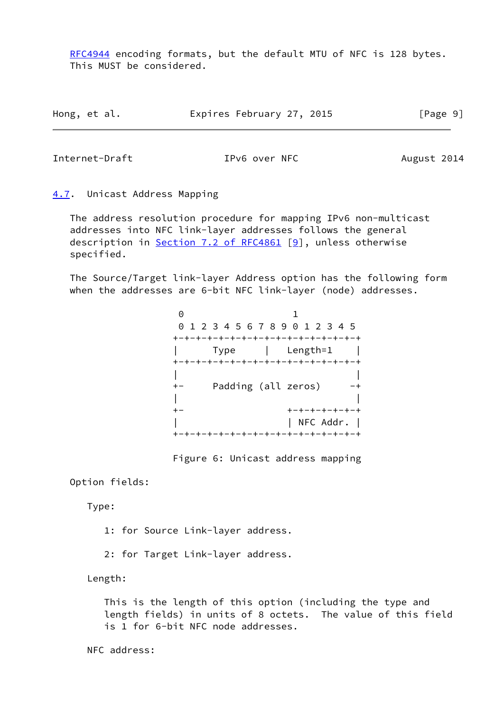[RFC4944](https://datatracker.ietf.org/doc/pdf/rfc4944) encoding formats, but the default MTU of NFC is 128 bytes. This MUST be considered.

| Hong, et al. | Expires February 27, 2015 | [Page 9] |
|--------------|---------------------------|----------|
|--------------|---------------------------|----------|

<span id="page-10-1"></span>Internet-Draft TPv6 over NFC August 2014

<span id="page-10-0"></span>[4.7](#page-10-0). Unicast Address Mapping

 The address resolution procedure for mapping IPv6 non-multicast addresses into NFC link-layer addresses follows the general description in Section [7.2 of RFC4861](https://datatracker.ietf.org/doc/pdf/rfc4861#section-7.2) [[9\]](#page-14-1), unless otherwise specified.

 The Source/Target link-layer Address option has the following form when the addresses are 6-bit NFC link-layer (node) addresses.

| $\left(\cdot\right)$ |                                 |                                     |
|----------------------|---------------------------------|-------------------------------------|
|                      | 0 1 2 3 4 5 6 7 8 9 0 1 2 3 4 5 |                                     |
|                      |                                 | +-+-+-+-+-+-+-+-+-+-+-+-+-+-+-+-+-+ |
|                      | Type                            | Length=1                            |
|                      |                                 | +-+-+-+-+-+-+-+-+-+-+-+-+-+-+-+-+-+ |
|                      |                                 |                                     |
|                      | Padding (all zeros)             |                                     |
|                      |                                 |                                     |
|                      |                                 | +-+-+-+-+-+-                        |
|                      |                                 | $ $ NFC Addr. $ $                   |
|                      |                                 | +-+-+-+-+-+-+-+-+-+-+-+-+-+-+-+-+-+ |

Figure 6: Unicast address mapping

Option fields:

Type:

1: for Source Link-layer address.

2: for Target Link-layer address.

Length:

 This is the length of this option (including the type and length fields) in units of 8 octets. The value of this field is 1 for 6-bit NFC node addresses.

NFC address: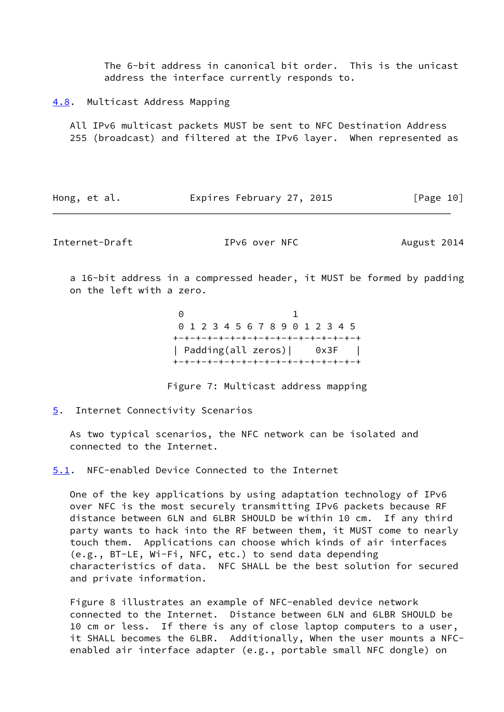The 6-bit address in canonical bit order. This is the unicast address the interface currently responds to.

<span id="page-11-0"></span>[4.8](#page-11-0). Multicast Address Mapping

 All IPv6 multicast packets MUST be sent to NFC Destination Address 255 (broadcast) and filtered at the IPv6 layer. When represented as

| Hong, et al. | Expires February 27, 2015 | [Page 10] |
|--------------|---------------------------|-----------|
|--------------|---------------------------|-----------|

<span id="page-11-2"></span>Internet-Draft TPv6 over NFC August 2014

 a 16-bit address in a compressed header, it MUST be formed by padding on the left with a zero.

 $\overline{0}$  and  $\overline{1}$  1 0 1 2 3 4 5 6 7 8 9 0 1 2 3 4 5 +-+-+-+-+-+-+-+-+-+-+-+-+-+-+-+-+ | Padding(all zeros)| 0x3F | +-+-+-+-+-+-+-+-+-+-+-+-+-+-+-+-+

Figure 7: Multicast address mapping

<span id="page-11-1"></span>[5](#page-11-1). Internet Connectivity Scenarios

 As two typical scenarios, the NFC network can be isolated and connected to the Internet.

<span id="page-11-3"></span>[5.1](#page-11-3). NFC-enabled Device Connected to the Internet

 One of the key applications by using adaptation technology of IPv6 over NFC is the most securely transmitting IPv6 packets because RF distance between 6LN and 6LBR SHOULD be within 10 cm. If any third party wants to hack into the RF between them, it MUST come to nearly touch them. Applications can choose which kinds of air interfaces (e.g., BT-LE, Wi-Fi, NFC, etc.) to send data depending characteristics of data. NFC SHALL be the best solution for secured and private information.

 Figure 8 illustrates an example of NFC-enabled device network connected to the Internet. Distance between 6LN and 6LBR SHOULD be 10 cm or less. If there is any of close laptop computers to a user, it SHALL becomes the 6LBR. Additionally, When the user mounts a NFC enabled air interface adapter (e.g., portable small NFC dongle) on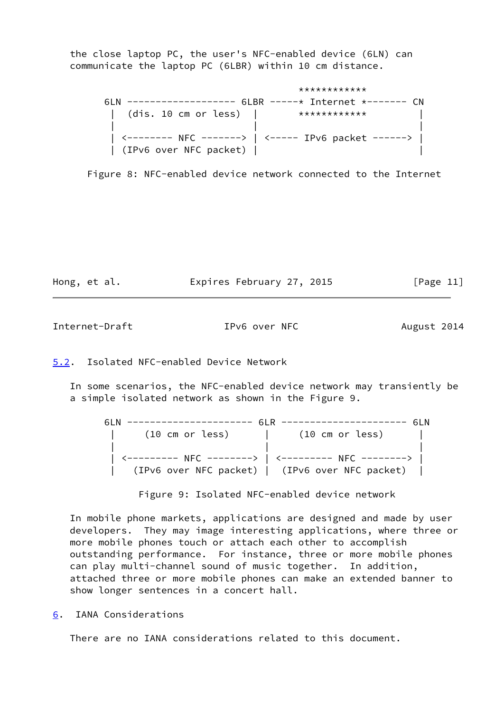the close laptop PC, the user's NFC-enabled device (6LN) can communicate the laptop PC (6LBR) within 10 cm distance.

|                        | ************                                        |
|------------------------|-----------------------------------------------------|
|                        |                                                     |
|                        | (dis. 10 cm or less) $ $ ************               |
|                        |                                                     |
|                        | <-------- NFC ------->   <----- IPv6 packet ------> |
| (IPv6 over NFC packet) |                                                     |

Figure 8: NFC-enabled device network connected to the Internet

| Hong, et al. |  |  |  | Expires February 27, 2015 |  |  | [Page 11] |  |
|--------------|--|--|--|---------------------------|--|--|-----------|--|
|--------------|--|--|--|---------------------------|--|--|-----------|--|

<span id="page-12-1"></span>Internet-Draft TPv6 over NFC August 2014

<span id="page-12-0"></span>[5.2](#page-12-0). Isolated NFC-enabled Device Network

 In some scenarios, the NFC-enabled device network may transiently be a simple isolated network as shown in the Figure 9.

| (10 cm or less)                                     | (10 cm or less)                                 |  |
|-----------------------------------------------------|-------------------------------------------------|--|
|                                                     |                                                 |  |
| <--------- NFC -------->   <--------- NFC --------> |                                                 |  |
|                                                     | (IPv6 over NFC packet)   (IPv6 over NFC packet) |  |

Figure 9: Isolated NFC-enabled device network

 In mobile phone markets, applications are designed and made by user developers. They may image interesting applications, where three or more mobile phones touch or attach each other to accomplish outstanding performance. For instance, three or more mobile phones can play multi-channel sound of music together. In addition, attached three or more mobile phones can make an extended banner to show longer sentences in a concert hall.

<span id="page-12-2"></span>[6](#page-12-2). IANA Considerations

There are no IANA considerations related to this document.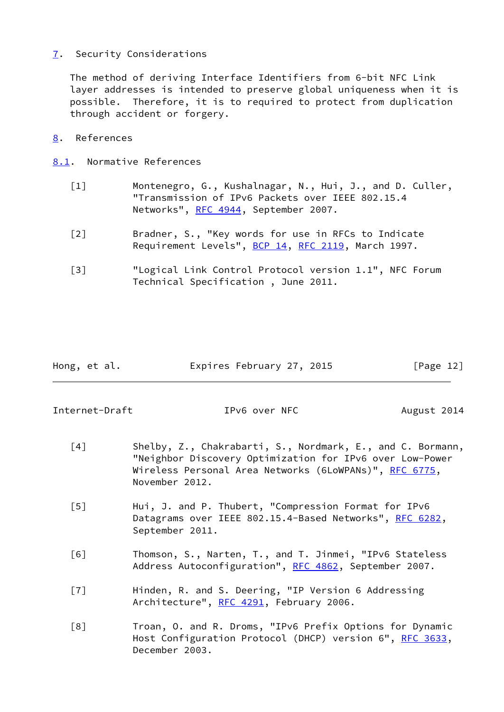# <span id="page-13-0"></span>[7](#page-13-0). Security Considerations

 The method of deriving Interface Identifiers from 6-bit NFC Link layer addresses is intended to preserve global uniqueness when it is possible. Therefore, it is to required to protect from duplication through accident or forgery.

# <span id="page-13-1"></span>[8](#page-13-1). References

- <span id="page-13-5"></span><span id="page-13-4"></span><span id="page-13-2"></span>[8.1](#page-13-2). Normative References
	- [1] Montenegro, G., Kushalnagar, N., Hui, J., and D. Culler, "Transmission of IPv6 Packets over IEEE 802.15.4 Networks", [RFC 4944](https://datatracker.ietf.org/doc/pdf/rfc4944), September 2007.
	- [2] Bradner, S., "Key words for use in RFCs to Indicate Requirement Levels", [BCP 14](https://datatracker.ietf.org/doc/pdf/bcp14), [RFC 2119](https://datatracker.ietf.org/doc/pdf/rfc2119), March 1997.
	- [3] "Logical Link Control Protocol version 1.1", NFC Forum Technical Specification , June 2011.

<span id="page-13-6"></span>

| Hong, et al. | Expires February 27, 2015 | [Page 12] |
|--------------|---------------------------|-----------|
|              |                           |           |

<span id="page-13-3"></span>Internet-Draft TPv6 over NFC August 2014

- <span id="page-13-7"></span>[4] Shelby, Z., Chakrabarti, S., Nordmark, E., and C. Bormann, "Neighbor Discovery Optimization for IPv6 over Low-Power Wireless Personal Area Networks (6LoWPANs)", [RFC 6775](https://datatracker.ietf.org/doc/pdf/rfc6775), November 2012.
- <span id="page-13-8"></span> [5] Hui, J. and P. Thubert, "Compression Format for IPv6 Datagrams over IEEE 802.15.4-Based Networks", [RFC 6282](https://datatracker.ietf.org/doc/pdf/rfc6282), September 2011.
- <span id="page-13-9"></span> [6] Thomson, S., Narten, T., and T. Jinmei, "IPv6 Stateless Address Autoconfiguration", [RFC 4862,](https://datatracker.ietf.org/doc/pdf/rfc4862) September 2007.
- <span id="page-13-10"></span> [7] Hinden, R. and S. Deering, "IP Version 6 Addressing Architecture", [RFC 4291](https://datatracker.ietf.org/doc/pdf/rfc4291), February 2006.
- <span id="page-13-11"></span> [8] Troan, O. and R. Droms, "IPv6 Prefix Options for Dynamic Host Configuration Protocol (DHCP) version 6", [RFC 3633](https://datatracker.ietf.org/doc/pdf/rfc3633), December 2003.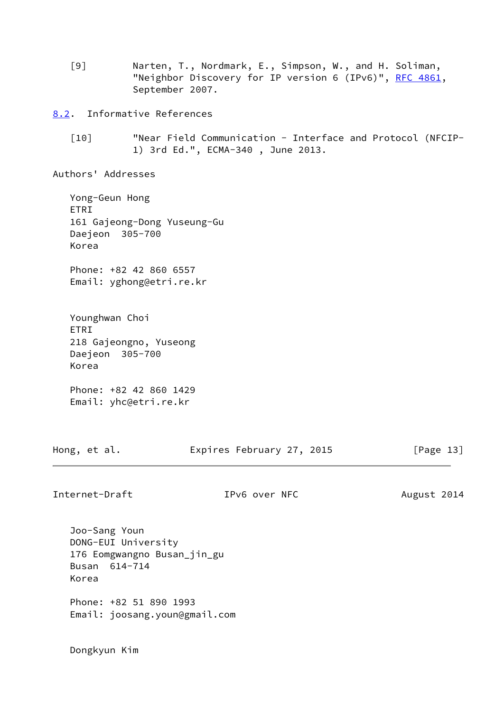<span id="page-14-1"></span> [9] Narten, T., Nordmark, E., Simpson, W., and H. Soliman, "Neighbor Discovery for IP version 6 (IPv6)", [RFC 4861](https://datatracker.ietf.org/doc/pdf/rfc4861), September 2007.

<span id="page-14-0"></span>[8.2](#page-14-0). Informative References

 [10] "Near Field Communication - Interface and Protocol (NFCIP- 1) 3rd Ed.", ECMA-340 , June 2013.

Authors' Addresses

 Yong-Geun Hong ETRI 161 Gajeong-Dong Yuseung-Gu Daejeon 305-700 Korea

 Phone: +82 42 860 6557 Email: yghong@etri.re.kr

Younghwan Choi ETRI 218 Gajeongno, Yuseong Daejeon 305-700 Korea Phone: +82 42 860 1429

Email: yhc@etri.re.kr

Hong, et al. **Expires February 27, 2015** [Page 13]

Internet-Draft TPv6 over NFC August 2014

 Joo-Sang Youn DONG-EUI University 176 Eomgwangno Busan\_jin\_gu Busan 614-714 Korea

 Phone: +82 51 890 1993 Email: joosang.youn@gmail.com

Dongkyun Kim